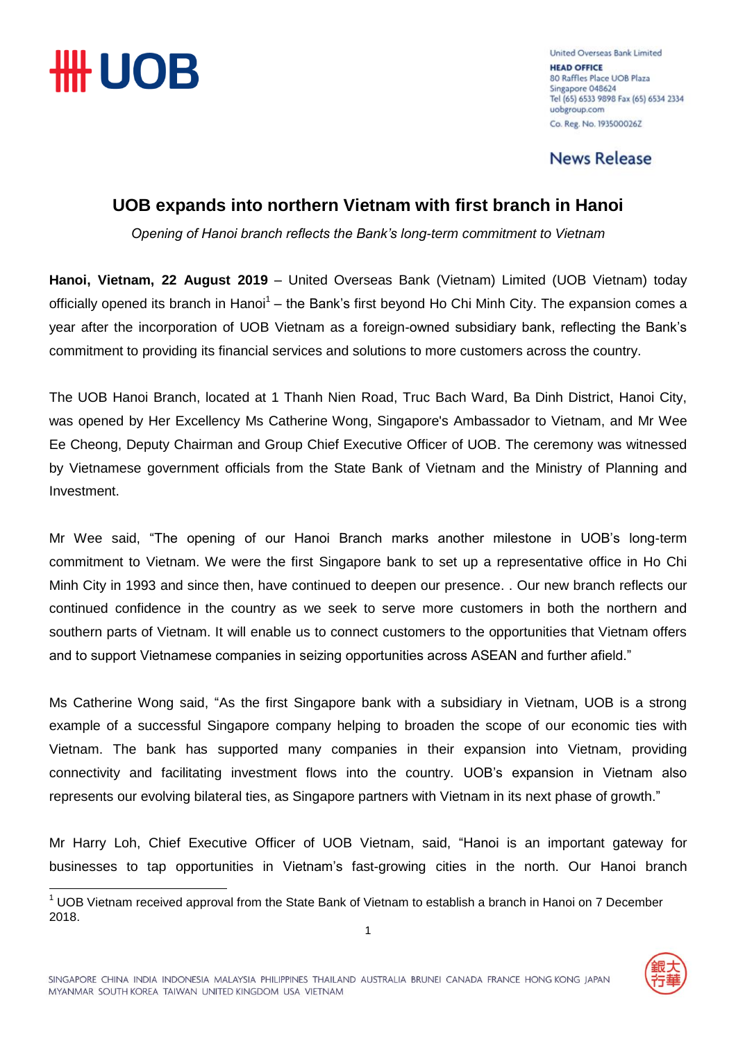

 $\overline{\phantom{a}}$ 

United Overseas Bank Limited **HEAD OFFICE** 80 Raffles Place UOB Plaza Singapore 048624 Tel (65) 6533 9898 Fax (65) 6534 2334 uobgroup.com Co. Reg. No. 193500026Z

**News Release** 

## **UOB expands into northern Vietnam with first branch in Hanoi**

*Opening of Hanoi branch reflects the Bank's long-term commitment to Vietnam*

**Hanoi, Vietnam, 22 August 2019** – United Overseas Bank (Vietnam) Limited (UOB Vietnam) today officially opened its branch in Hanoi<sup>1</sup> – the Bank's first beyond Ho Chi Minh City. The expansion comes a year after the incorporation of UOB Vietnam as a foreign-owned subsidiary bank, reflecting the Bank's commitment to providing its financial services and solutions to more customers across the country.

The UOB Hanoi Branch, located at 1 Thanh Nien Road, Truc Bach Ward, Ba Dinh District, Hanoi City, was opened by Her Excellency Ms Catherine Wong, Singapore's Ambassador to Vietnam, and Mr Wee Ee Cheong, Deputy Chairman and Group Chief Executive Officer of UOB. The ceremony was witnessed by Vietnamese government officials from the State Bank of Vietnam and the Ministry of Planning and Investment.

Mr Wee said, "The opening of our Hanoi Branch marks another milestone in UOB's long-term commitment to Vietnam. We were the first Singapore bank to set up a representative office in Ho Chi Minh City in 1993 and since then, have continued to deepen our presence. . Our new branch reflects our continued confidence in the country as we seek to serve more customers in both the northern and southern parts of Vietnam. It will enable us to connect customers to the opportunities that Vietnam offers and to support Vietnamese companies in seizing opportunities across ASEAN and further afield."

Ms Catherine Wong said, "As the first Singapore bank with a subsidiary in Vietnam, UOB is a strong example of a successful Singapore company helping to broaden the scope of our economic ties with Vietnam. The bank has supported many companies in their expansion into Vietnam, providing connectivity and facilitating investment flows into the country. UOB's expansion in Vietnam also represents our evolving bilateral ties, as Singapore partners with Vietnam in its next phase of growth."

Mr Harry Loh, Chief Executive Officer of UOB Vietnam, said, "Hanoi is an important gateway for businesses to tap opportunities in Vietnam's fast-growing cities in the north. Our Hanoi branch

 $1$  UOB Vietnam received approval from the State Bank of Vietnam to establish a branch in Hanoi on 7 December 2018.